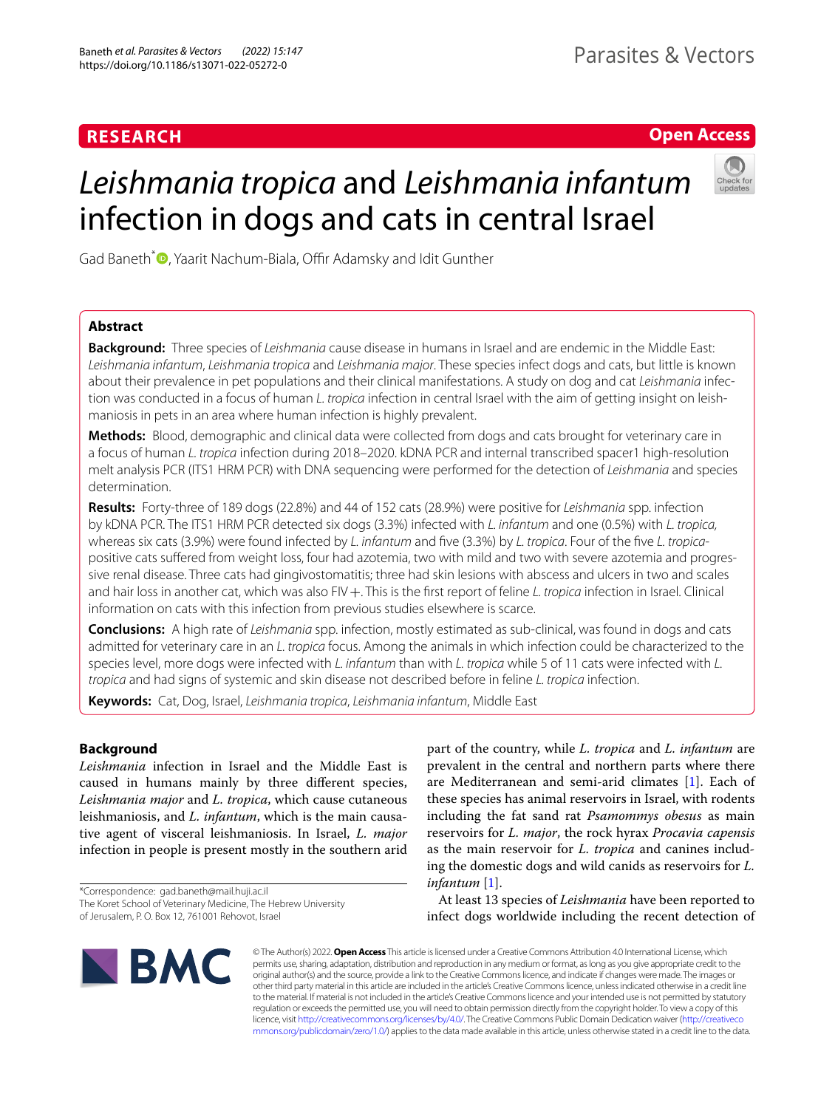# **RESEARCH**

**Open Access**

# *Leishmania tropica* and *Leishmania infantum* infection in dogs and cats in central Israel



Gad Baneth<sup>\*</sup> **D**[,](http://orcid.org/0000-0002-7549-1305) Yaarit Nachum-Biala, Offir Adamsky and Idit Gunther

# **Abstract**

**Background:** Three species of *Leishmania* cause disease in humans in Israel and are endemic in the Middle East: *Leishmania infantum*, *Leishmania tropica* and *Leishmania major*. These species infect dogs and cats, but little is known about their prevalence in pet populations and their clinical manifestations. A study on dog and cat *Leishmania* infection was conducted in a focus of human *L. tropica* infection in central Israel with the aim of getting insight on leishmaniosis in pets in an area where human infection is highly prevalent.

**Methods:** Blood, demographic and clinical data were collected from dogs and cats brought for veterinary care in a focus of human *L. tropica* infection during 2018–2020. kDNA PCR and internal transcribed spacer1 high-resolution melt analysis PCR (ITS1 HRM PCR) with DNA sequencing were performed for the detection of *Leishmania* and species determination.

**Results:** Forty-three of 189 dogs (22.8%) and 44 of 152 cats (28.9%) were positive for *Leishmania* spp. infection by kDNA PCR. The ITS1 HRM PCR detected six dogs (3.3%) infected with *L. infantum* and one (0.5%) with *L. tropica,* whereas six cats (3.9%) were found infected by *L. infantum* and fve (3.3%) by *L. tropica*. Four of the fve *L. tropica*positive cats sufered from weight loss, four had azotemia, two with mild and two with severe azotemia and progres‑ sive renal disease. Three cats had gingivostomatitis; three had skin lesions with abscess and ulcers in two and scales and hair loss in another cat, which was also FIV+. This is the first report of feline *L. tropica* infection in Israel. Clinical information on cats with this infection from previous studies elsewhere is scarce.

**Conclusions:** A high rate of *Leishmania* spp. infection, mostly estimated as sub-clinical, was found in dogs and cats admitted for veterinary care in an *L. tropica* focus. Among the animals in which infection could be characterized to the species level, more dogs were infected with *L. infantum* than with *L. tropica* while 5 of 11 cats were infected with *L. tropica* and had signs of systemic and skin disease not described before in feline *L. tropica* infection.

**Keywords:** Cat, Dog, Israel, *Leishmania tropica*, *Leishmania infantum*, Middle East

# **Background**

*Leishmania* infection in Israel and the Middle East is caused in humans mainly by three diferent species, *Leishmania major* and *L. tropica*, which cause cutaneous leishmaniosis, and *L. infantum*, which is the main causative agent of visceral leishmaniosis. In Israel, *L. major* infection in people is present mostly in the southern arid

\*Correspondence: gad.baneth@mail.huji.ac.il The Koret School of Veterinary Medicine, The Hebrew University of Jerusalem, P. O. Box 12, 761001 Rehovot, Israel

part of the country, while *L. tropica* and *L. infantum* are prevalent in the central and northern parts where there are Mediterranean and semi-arid climates [\[1](#page-7-0)]. Each of these species has animal reservoirs in Israel, with rodents including the fat sand rat *Psamommys obesus* as main reservoirs for *L. major*, the rock hyrax *Procavia capensis* as the main reservoir for *L. tropica* and canines including the domestic dogs and wild canids as reservoirs for *L. infantum* [\[1\]](#page-7-0).

At least 13 species of *Leishmania* have been reported to infect dogs worldwide including the recent detection of



© The Author(s) 2022. **Open Access** This article is licensed under a Creative Commons Attribution 4.0 International License, which permits use, sharing, adaptation, distribution and reproduction in any medium or format, as long as you give appropriate credit to the original author(s) and the source, provide a link to the Creative Commons licence, and indicate if changes were made. The images or other third party material in this article are included in the article's Creative Commons licence, unless indicated otherwise in a credit line to the material. If material is not included in the article's Creative Commons licence and your intended use is not permitted by statutory regulation or exceeds the permitted use, you will need to obtain permission directly from the copyright holder. To view a copy of this licence, visit [http://creativecommons.org/licenses/by/4.0/.](http://creativecommons.org/licenses/by/4.0/) The Creative Commons Public Domain Dedication waiver ([http://creativeco](http://creativecommons.org/publicdomain/zero/1.0/) [mmons.org/publicdomain/zero/1.0/](http://creativecommons.org/publicdomain/zero/1.0/)) applies to the data made available in this article, unless otherwise stated in a credit line to the data.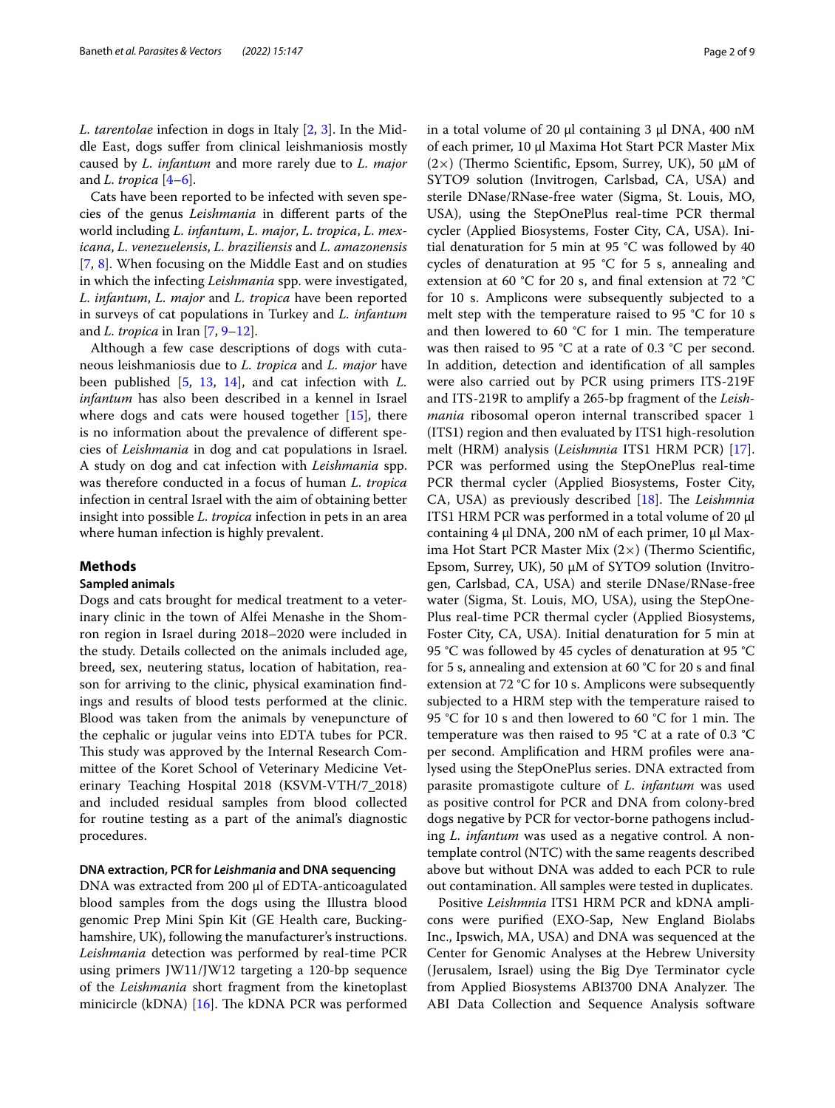*L. tarentolae* infection in dogs in Italy [\[2](#page-7-1), [3](#page-7-2)]. In the Middle East, dogs sufer from clinical leishmaniosis mostly caused by *L. infantum* and more rarely due to *L. major* and *L. tropica* [[4–](#page-7-3)[6\]](#page-7-4).

Cats have been reported to be infected with seven species of the genus *Leishmania* in diferent parts of the world including *L. infantum*, *L. major*, *L. tropica*, *L. mexicana*, *L. venezuelensis*, *L. braziliensis* and *L. amazonensis* [[7,](#page-7-5) [8\]](#page-7-6). When focusing on the Middle East and on studies in which the infecting *Leishmania* spp. were investigated, *L. infantum*, *L. major* and *L. tropica* have been reported in surveys of cat populations in Turkey and *L. infantum* and *L. tropica* in Iran [\[7](#page-7-5), [9–](#page-7-7)[12\]](#page-7-8).

Although a few case descriptions of dogs with cutaneous leishmaniosis due to *L. tropica* and *L. major* have been published [[5,](#page-7-9) [13](#page-7-10), [14](#page-7-11)], and cat infection with *L. infantum* has also been described in a kennel in Israel where dogs and cats were housed together  $[15]$  $[15]$ , there is no information about the prevalence of diferent species of *Leishmania* in dog and cat populations in Israel. A study on dog and cat infection with *Leishmania* spp. was therefore conducted in a focus of human *L. tropica* infection in central Israel with the aim of obtaining better insight into possible *L. tropica* infection in pets in an area where human infection is highly prevalent.

# **Methods**

## **Sampled animals**

Dogs and cats brought for medical treatment to a veterinary clinic in the town of Alfei Menashe in the Shomron region in Israel during 2018–2020 were included in the study. Details collected on the animals included age, breed, sex, neutering status, location of habitation, reason for arriving to the clinic, physical examination fndings and results of blood tests performed at the clinic. Blood was taken from the animals by venepuncture of the cephalic or jugular veins into EDTA tubes for PCR. This study was approved by the Internal Research Committee of the Koret School of Veterinary Medicine Veterinary Teaching Hospital 2018 (KSVM-VTH/7\_2018) and included residual samples from blood collected for routine testing as a part of the animal's diagnostic procedures.

# **DNA extraction, PCR for** *Leishmania* **and DNA sequencing**

DNA was extracted from 200 µl of EDTA-anticoagulated blood samples from the dogs using the Illustra blood genomic Prep Mini Spin Kit (GE Health care, Buckinghamshire, UK), following the manufacturer's instructions. *Leishmania* detection was performed by real-time PCR using primers JW11/JW12 targeting a 120-bp sequence of the *Leishmania* short fragment from the kinetoplast minicircle (kDNA)  $[16]$ . The kDNA PCR was performed in a total volume of 20 μl containing 3 μl DNA, 400 nM of each primer, 10 μl Maxima Hot Start PCR Master Mix (2×) (Thermo Scientific, Epsom, Surrey, UK), 50  $\mu$ M of SYTO9 solution (Invitrogen, Carlsbad, CA, USA) and sterile DNase/RNase-free water (Sigma, St. Louis, MO, USA), using the StepOnePlus real-time PCR thermal cycler (Applied Biosystems, Foster City, CA, USA). Initial denaturation for 5 min at 95  $\degree$ C was followed by 40 cycles of denaturation at 95 °C for 5 s, annealing and extension at 60 °C for 20 s, and fnal extension at 72 °C for 10 s. Amplicons were subsequently subjected to a melt step with the temperature raised to 95 °C for 10 s and then lowered to 60  $^{\circ}$ C for 1 min. The temperature was then raised to 95 °C at a rate of 0.3 °C per second. In addition, detection and identifcation of all samples were also carried out by PCR using primers ITS-219F and ITS-219R to amplify a 265-bp fragment of the *Leishmania* ribosomal operon internal transcribed spacer 1 (ITS1) region and then evaluated by ITS1 high-resolution melt (HRM) analysis (*Leishmnia* ITS1 HRM PCR) [\[17](#page-7-14)]. PCR was performed using the StepOnePlus real-time PCR thermal cycler (Applied Biosystems, Foster City, CA, USA) as previously described [\[18](#page-7-15)]. The *Leishmnia* ITS1 HRM PCR was performed in a total volume of 20 μl containing 4 μl DNA, 200 nM of each primer, 10 μl Maxima Hot Start PCR Master Mix  $(2\times)$  (Thermo Scientific, Epsom, Surrey, UK), 50 μM of SYTO9 solution (Invitrogen, Carlsbad, CA, USA) and sterile DNase/RNase-free water (Sigma, St. Louis, MO, USA), using the StepOne-Plus real-time PCR thermal cycler (Applied Biosystems, Foster City, CA, USA). Initial denaturation for 5 min at 95 °C was followed by 45 cycles of denaturation at 95 °C for 5 s, annealing and extension at 60 °C for 20 s and fnal extension at 72 °C for 10 s. Amplicons were subsequently subjected to a HRM step with the temperature raised to 95 °C for 10 s and then lowered to 60 °C for 1 min. The temperature was then raised to 95 °C at a rate of 0.3 °C per second. Amplifcation and HRM profles were analysed using the StepOnePlus series. DNA extracted from parasite promastigote culture of *L. infantum* was used as positive control for PCR and DNA from colony-bred dogs negative by PCR for vector-borne pathogens including *L. infantum* was used as a negative control. A nontemplate control (NTC) with the same reagents described above but without DNA was added to each PCR to rule out contamination. All samples were tested in duplicates.

Positive *Leishmnia* ITS1 HRM PCR and kDNA amplicons were purifed (EXO-Sap, New England Biolabs Inc., Ipswich, MA, USA) and DNA was sequenced at the Center for Genomic Analyses at the Hebrew University (Jerusalem, Israel) using the Big Dye Terminator cycle from Applied Biosystems ABI3700 DNA Analyzer. The ABI Data Collection and Sequence Analysis software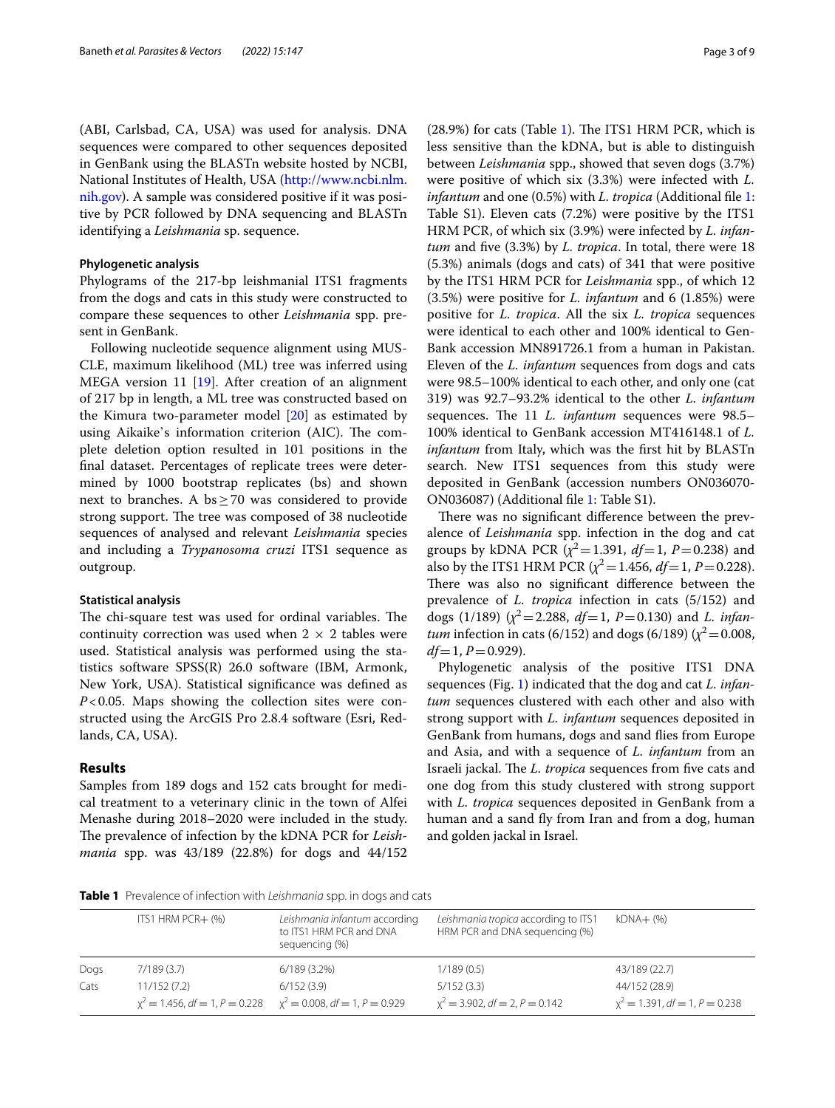(ABI, Carlsbad, CA, USA) was used for analysis. DNA sequences were compared to other sequences deposited in GenBank using the BLASTn website hosted by NCBI, National Institutes of Health, USA ([http://www.ncbi.nlm.](http://www.ncbi.nlm.nih.gov) [nih.gov\)](http://www.ncbi.nlm.nih.gov). A sample was considered positive if it was positive by PCR followed by DNA sequencing and BLASTn identifying a *Leishmania* sp. sequence.

## **Phylogenetic analysis**

Phylograms of the 217-bp leishmanial ITS1 fragments from the dogs and cats in this study were constructed to compare these sequences to other *Leishmania* spp. present in GenBank.

Following nucleotide sequence alignment using MUS-CLE, maximum likelihood (ML) tree was inferred using MEGA version 11 [[19\]](#page-7-16). After creation of an alignment of 217 bp in length, a ML tree was constructed based on the Kimura two-parameter model [\[20](#page-7-17)] as estimated by using Aikaike's information criterion (AIC). The complete deletion option resulted in 101 positions in the fnal dataset. Percentages of replicate trees were determined by 1000 bootstrap replicates (bs) and shown next to branches. A bs  $\geq$  70 was considered to provide strong support. The tree was composed of 38 nucleotide sequences of analysed and relevant *Leishmania* species and including a *Trypanosoma cruzi* ITS1 sequence as outgroup.

#### **Statistical analysis**

The chi-square test was used for ordinal variables. The continuity correction was used when  $2 \times 2$  tables were used. Statistical analysis was performed using the statistics software SPSS(R) 26.0 software (IBM, Armonk, New York, USA). Statistical signifcance was defned as *P*<0.05. Maps showing the collection sites were constructed using the ArcGIS Pro 2.8.4 software (Esri, Redlands, CA, USA).

## **Results**

Samples from 189 dogs and 152 cats brought for medical treatment to a veterinary clinic in the town of Alfei Menashe during 2018–2020 were included in the study. The prevalence of infection by the kDNA PCR for *Leishmania* spp. was 43/189 (22.8%) for dogs and 44/152

(28.9%) for cats (Table [1\)](#page-2-0). The ITS1 HRM PCR, which is less sensitive than the kDNA, but is able to distinguish between *Leishmania* spp., showed that seven dogs (3.7%) were positive of which six (3.3%) were infected with *L. infantum* and one (0.5%) with *L. tropica* (Additional fle [1](#page-6-0): Table S1). Eleven cats (7.2%) were positive by the ITS1 HRM PCR, of which six (3.9%) were infected by *L. infantum* and fve (3.3%) by *L. tropica*. In total, there were 18 (5.3%) animals (dogs and cats) of 341 that were positive by the ITS1 HRM PCR for *Leishmania* spp., of which 12 (3.5%) were positive for *L. infantum* and 6 (1.85%) were positive for *L. tropica*. All the six *L. tropica* sequences were identical to each other and 100% identical to Gen-Bank accession MN891726.1 from a human in Pakistan. Eleven of the *L. infantum* sequences from dogs and cats were 98.5–100% identical to each other, and only one (cat 319) was 92.7–93.2% identical to the other *L. infantum* sequences. The 11 *L. infantum* sequences were 98.5– 100% identical to GenBank accession MT416148.1 of *L. infantum* from Italy, which was the first hit by BLASTn search. New ITS1 sequences from this study were deposited in GenBank (accession numbers ON036070- ON036087) (Additional fle [1:](#page-6-0) Table S1).

There was no significant difference between the prevalence of *Leishmania* spp. infection in the dog and cat groups by kDNA PCR  $(\chi^2 = 1.391, df = 1, P = 0.238)$  and also by the ITS1 HRM PCR  $(\chi^2 = 1.456, df = 1, P = 0.228)$ . There was also no significant difference between the prevalence of *L. tropica* infection in cats (5/152) and dogs (1/189) ( $\chi^2$  = 2.288, *df* = 1, *P* = 0.130) and *L. infantum* infection in cats (6/152) and dogs (6/189) ( $\chi^2$  = 0.008,  $df=1, P=0.929$ .

Phylogenetic analysis of the positive ITS1 DNA sequences (Fig. [1](#page-3-0)) indicated that the dog and cat *L. infantum* sequences clustered with each other and also with strong support with *L. infantum* sequences deposited in GenBank from humans, dogs and sand fies from Europe and Asia, and with a sequence of *L. infantum* from an Israeli jackal. The *L. tropica* sequences from five cats and one dog from this study clustered with strong support with *L. tropica* sequences deposited in GenBank from a human and a sand fy from Iran and from a dog, human and golden jackal in Israel.

<span id="page-2-0"></span>**Table 1** Prevalence of infection with *Leishmania* spp. in dogs and cats

|      | ITS1 HRM PCR+ (%)                                                                  | Leishmania infantum according<br>to ITS1 HRM PCR and DNA<br>sequencing (%) | Leishmania tropica according to ITS1<br>HRM PCR and DNA sequencing (%) | kDNA+ (%)                                          |
|------|------------------------------------------------------------------------------------|----------------------------------------------------------------------------|------------------------------------------------------------------------|----------------------------------------------------|
| Dogs | 7/189(3.7)                                                                         | $6/189(3.2\%)$                                                             | 1/189(0.5)                                                             | 43/189 (22.7)                                      |
| Cats | 11/152(7.2)<br>$x^2 = 1.456$ , df = 1, P = 0.228 $x^2 = 0.008$ , df = 1, P = 0.929 | 6/152(3.9)                                                                 | 5/152(3.3)<br>$x^2 = 3.902$ , df = 2, P = 0.142                        | 44/152 (28.9)<br>$x^2 = 1.391$ , df = 1, P = 0.238 |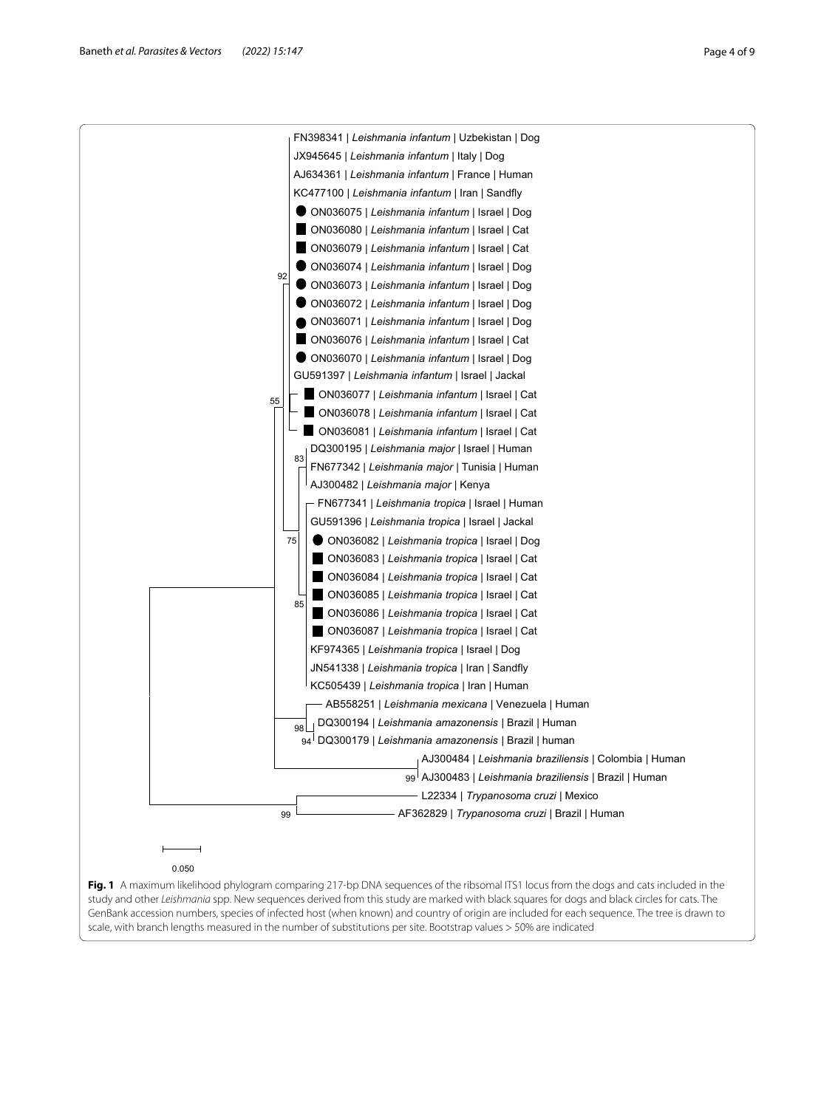<span id="page-3-0"></span>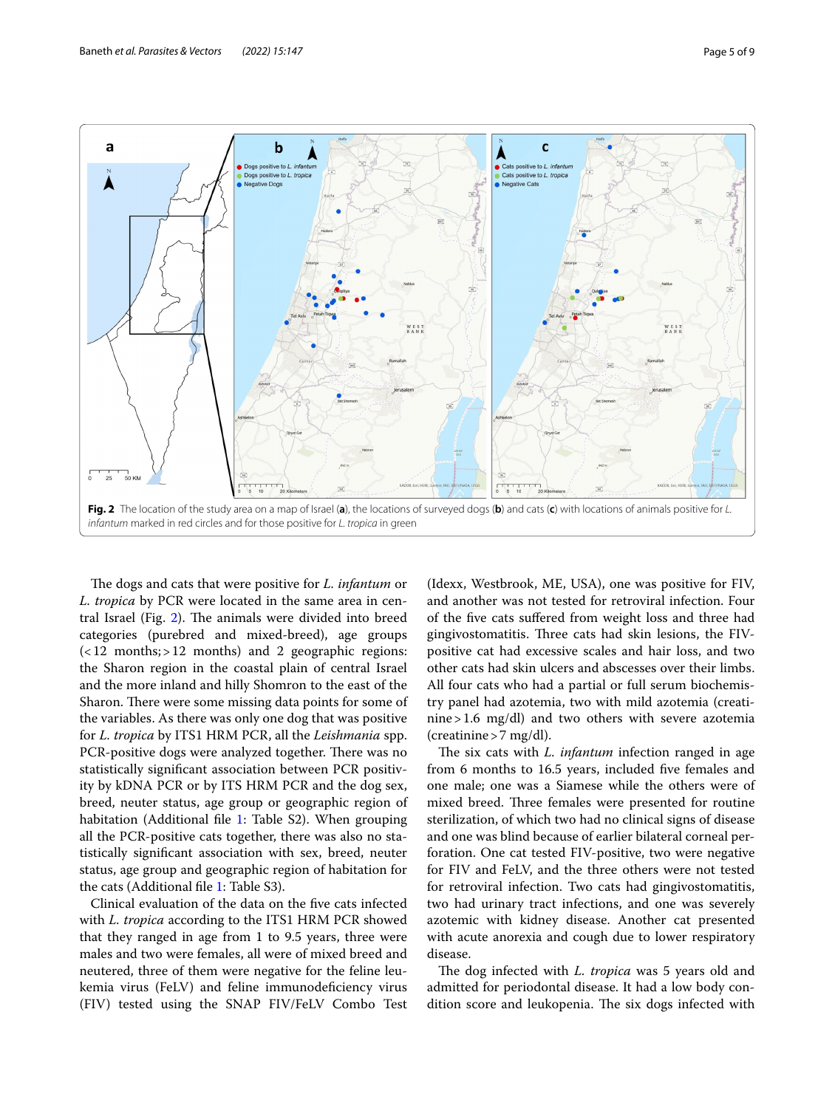

<span id="page-4-0"></span>The dogs and cats that were positive for *L. infantum* or *L. tropica* by PCR were located in the same area in cen-tral Israel (Fig. [2\)](#page-4-0). The animals were divided into breed categories (purebred and mixed-breed), age groups  $\left( < 12$  months; > 12 months) and 2 geographic regions: the Sharon region in the coastal plain of central Israel and the more inland and hilly Shomron to the east of the Sharon. There were some missing data points for some of the variables. As there was only one dog that was positive for *L. tropica* by ITS1 HRM PCR, all the *Leishmania* spp. PCR-positive dogs were analyzed together. There was no statistically signifcant association between PCR positivity by kDNA PCR or by ITS HRM PCR and the dog sex, breed, neuter status, age group or geographic region of habitation (Additional file [1:](#page-6-0) Table S2). When grouping all the PCR-positive cats together, there was also no statistically signifcant association with sex, breed, neuter status, age group and geographic region of habitation for the cats (Additional fle [1](#page-6-0): Table S3).

Clinical evaluation of the data on the fve cats infected with *L. tropica* according to the ITS1 HRM PCR showed that they ranged in age from 1 to 9.5 years, three were males and two were females, all were of mixed breed and neutered, three of them were negative for the feline leukemia virus (FeLV) and feline immunodeficiency virus (FIV) tested using the SNAP FIV/FeLV Combo Test

(Idexx, Westbrook, ME, USA), one was positive for FIV, and another was not tested for retroviral infection. Four of the fve cats sufered from weight loss and three had gingivostomatitis. Three cats had skin lesions, the FIVpositive cat had excessive scales and hair loss, and two other cats had skin ulcers and abscesses over their limbs. All four cats who had a partial or full serum biochemistry panel had azotemia, two with mild azotemia (creatinine>1.6 mg/dl) and two others with severe azotemia  $(creationine > 7 mg/dl).$ 

The six cats with *L. infantum* infection ranged in age from 6 months to 16.5 years, included fve females and one male; one was a Siamese while the others were of mixed breed. Three females were presented for routine sterilization, of which two had no clinical signs of disease and one was blind because of earlier bilateral corneal perforation. One cat tested FIV-positive, two were negative for FIV and FeLV, and the three others were not tested for retroviral infection. Two cats had gingivostomatitis, two had urinary tract infections, and one was severely azotemic with kidney disease. Another cat presented with acute anorexia and cough due to lower respiratory disease.

The dog infected with *L. tropica* was 5 years old and admitted for periodontal disease. It had a low body condition score and leukopenia. The six dogs infected with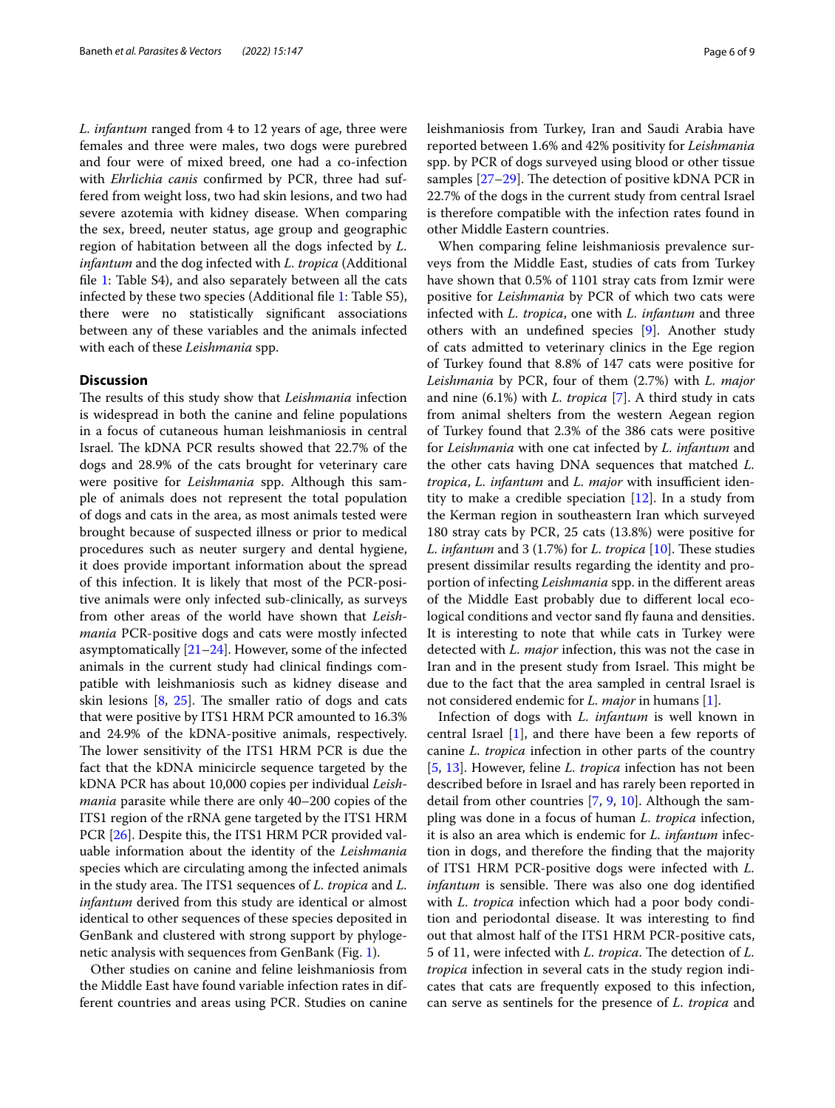*L. infantum* ranged from 4 to 12 years of age, three were females and three were males, two dogs were purebred and four were of mixed breed, one had a co-infection with *Ehrlichia canis* confrmed by PCR, three had suffered from weight loss, two had skin lesions, and two had severe azotemia with kidney disease. When comparing the sex, breed, neuter status, age group and geographic region of habitation between all the dogs infected by *L. infantum* and the dog infected with *L. tropica* (Additional fle [1](#page-6-0): Table S4), and also separately between all the cats infected by these two species (Additional fle [1](#page-6-0): Table S5), there were no statistically signifcant associations between any of these variables and the animals infected with each of these *Leishmania* spp.

# **Discussion**

The results of this study show that *Leishmania* infection is widespread in both the canine and feline populations in a focus of cutaneous human leishmaniosis in central Israel. The kDNA PCR results showed that 22.7% of the dogs and 28.9% of the cats brought for veterinary care were positive for *Leishmania* spp. Although this sample of animals does not represent the total population of dogs and cats in the area, as most animals tested were brought because of suspected illness or prior to medical procedures such as neuter surgery and dental hygiene, it does provide important information about the spread of this infection. It is likely that most of the PCR-positive animals were only infected sub-clinically, as surveys from other areas of the world have shown that *Leishmania* PCR-positive dogs and cats were mostly infected asymptomatically  $[21–24]$  $[21–24]$  $[21–24]$ . However, some of the infected animals in the current study had clinical fndings compatible with leishmaniosis such as kidney disease and skin lesions  $[8, 25]$  $[8, 25]$  $[8, 25]$  $[8, 25]$ . The smaller ratio of dogs and cats that were positive by ITS1 HRM PCR amounted to 16.3% and 24.9% of the kDNA-positive animals, respectively. The lower sensitivity of the ITS1 HRM PCR is due the fact that the kDNA minicircle sequence targeted by the kDNA PCR has about 10,000 copies per individual *Leishmania* parasite while there are only 40–200 copies of the ITS1 region of the rRNA gene targeted by the ITS1 HRM PCR [\[26\]](#page-7-21). Despite this, the ITS1 HRM PCR provided valuable information about the identity of the *Leishmania* species which are circulating among the infected animals in the study area. The ITS1 sequences of *L. tropica* and *L. infantum* derived from this study are identical or almost identical to other sequences of these species deposited in GenBank and clustered with strong support by phylogenetic analysis with sequences from GenBank (Fig. [1\)](#page-3-0).

Other studies on canine and feline leishmaniosis from the Middle East have found variable infection rates in different countries and areas using PCR. Studies on canine leishmaniosis from Turkey, Iran and Saudi Arabia have reported between 1.6% and 42% positivity for *Leishmania* spp. by PCR of dogs surveyed using blood or other tissue samples  $[27–29]$  $[27–29]$  $[27–29]$ . The detection of positive kDNA PCR in 22.7% of the dogs in the current study from central Israel is therefore compatible with the infection rates found in other Middle Eastern countries.

When comparing feline leishmaniosis prevalence surveys from the Middle East, studies of cats from Turkey have shown that 0.5% of 1101 stray cats from Izmir were positive for *Leishmania* by PCR of which two cats were infected with *L. tropica*, one with *L. infantum* and three others with an undefned species [[9](#page-7-7)]. Another study of cats admitted to veterinary clinics in the Ege region of Turkey found that 8.8% of 147 cats were positive for *Leishmania* by PCR, four of them (2.7%) with *L. major* and nine (6.1%) with *L. tropica* [[7\]](#page-7-5). A third study in cats from animal shelters from the western Aegean region of Turkey found that 2.3% of the 386 cats were positive for *Leishmania* with one cat infected by *L. infantum* and the other cats having DNA sequences that matched *L. tropica, L. infantum* and *L. major* with insufficient identity to make a credible speciation [\[12\]](#page-7-8). In a study from the Kerman region in southeastern Iran which surveyed 180 stray cats by PCR, 25 cats (13.8%) were positive for *L. infantum* and 3 (1.7%) for *L. tropica* [\[10](#page-7-24)]. These studies present dissimilar results regarding the identity and proportion of infecting *Leishmania* spp. in the diferent areas of the Middle East probably due to diferent local ecological conditions and vector sand fly fauna and densities. It is interesting to note that while cats in Turkey were detected with *L. major* infection, this was not the case in Iran and in the present study from Israel. This might be due to the fact that the area sampled in central Israel is not considered endemic for *L. major* in humans [\[1](#page-7-0)].

Infection of dogs with *L. infantum* is well known in central Israel [\[1\]](#page-7-0), and there have been a few reports of canine *L. tropica* infection in other parts of the country [[5,](#page-7-9) [13\]](#page-7-10). However, feline *L. tropica* infection has not been described before in Israel and has rarely been reported in detail from other countries [[7,](#page-7-5) [9,](#page-7-7) [10\]](#page-7-24). Although the sampling was done in a focus of human *L. tropica* infection, it is also an area which is endemic for *L. infantum* infection in dogs, and therefore the fnding that the majority of ITS1 HRM PCR-positive dogs were infected with *L. infantum* is sensible. There was also one dog identified with *L. tropica* infection which had a poor body condition and periodontal disease. It was interesting to fnd out that almost half of the ITS1 HRM PCR-positive cats, 5 of 11, were infected with *L. tropica*. The detection of *L*. *tropica* infection in several cats in the study region indicates that cats are frequently exposed to this infection, can serve as sentinels for the presence of *L. tropica* and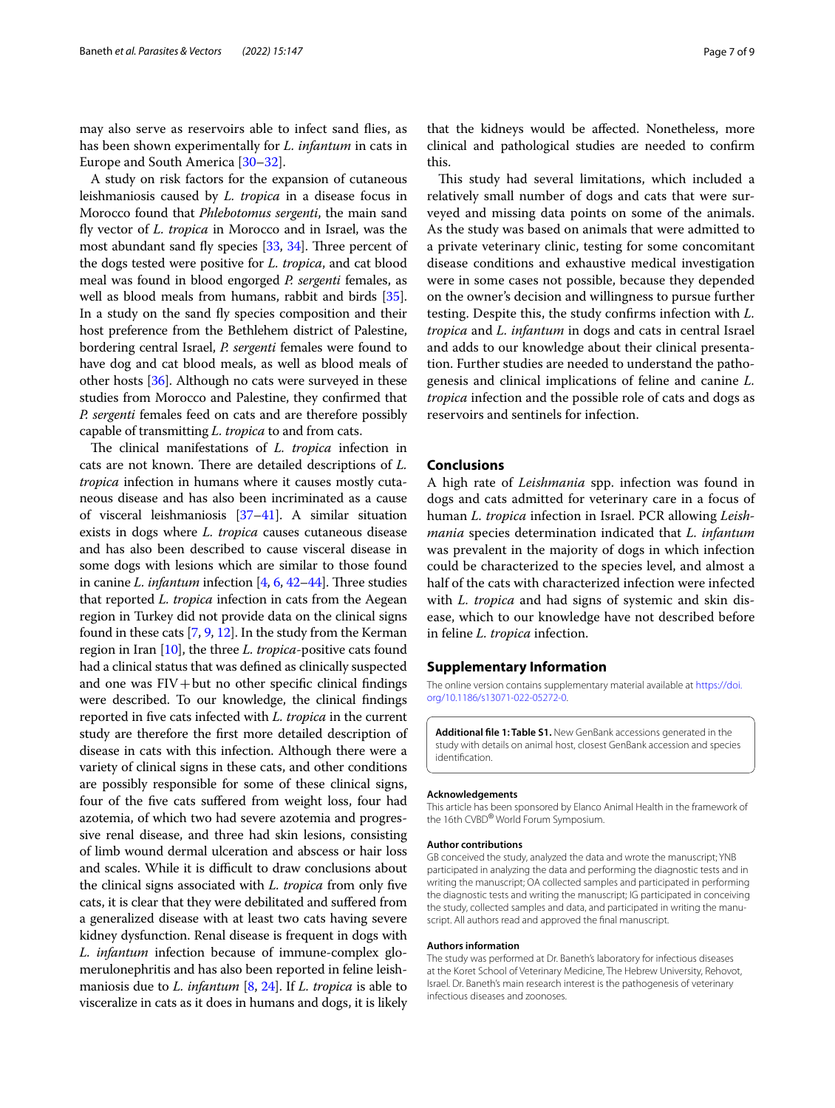may also serve as reservoirs able to infect sand fies, as has been shown experimentally for *L. infantum* in cats in Europe and South America [[30–](#page-7-25)[32\]](#page-7-26).

A study on risk factors for the expansion of cutaneous leishmaniosis caused by *L. tropica* in a disease focus in Morocco found that *Phlebotomus sergenti*, the main sand fy vector of *L. tropica* in Morocco and in Israel, was the most abundant sand fly species  $[33, 34]$  $[33, 34]$  $[33, 34]$ . Three percent of the dogs tested were positive for *L. tropica*, and cat blood meal was found in blood engorged *P. sergenti* females, as well as blood meals from humans, rabbit and birds [[35](#page-8-0)]. In a study on the sand fy species composition and their host preference from the Bethlehem district of Palestine, bordering central Israel, *P. sergenti* females were found to have dog and cat blood meals, as well as blood meals of other hosts [\[36\]](#page-8-1). Although no cats were surveyed in these studies from Morocco and Palestine, they confrmed that *P. sergenti* females feed on cats and are therefore possibly capable of transmitting *L. tropica* to and from cats.

The clinical manifestations of *L. tropica* infection in cats are not known. There are detailed descriptions of *L*. *tropica* infection in humans where it causes mostly cutaneous disease and has also been incriminated as a cause of visceral leishmaniosis [\[37–](#page-8-2)[41](#page-8-3)]. A similar situation exists in dogs where *L. tropica* causes cutaneous disease and has also been described to cause visceral disease in some dogs with lesions which are similar to those found in canine *L. infantum* infection  $[4, 6, 42-44]$  $[4, 6, 42-44]$  $[4, 6, 42-44]$  $[4, 6, 42-44]$  $[4, 6, 42-44]$  $[4, 6, 42-44]$  $[4, 6, 42-44]$ . Three studies that reported *L. tropica* infection in cats from the Aegean region in Turkey did not provide data on the clinical signs found in these cats [[7](#page-7-5), [9,](#page-7-7) [12](#page-7-8)]. In the study from the Kerman region in Iran [\[10\]](#page-7-24), the three *L. tropica*-positive cats found had a clinical status that was defned as clinically suspected and one was  $FIV + but$  no other specific clinical findings were described. To our knowledge, the clinical fndings reported in fve cats infected with *L. tropica* in the current study are therefore the frst more detailed description of disease in cats with this infection. Although there were a variety of clinical signs in these cats, and other conditions are possibly responsible for some of these clinical signs, four of the fve cats sufered from weight loss, four had azotemia, of which two had severe azotemia and progressive renal disease, and three had skin lesions, consisting of limb wound dermal ulceration and abscess or hair loss and scales. While it is difficult to draw conclusions about the clinical signs associated with *L. tropica* from only fve cats, it is clear that they were debilitated and sufered from a generalized disease with at least two cats having severe kidney dysfunction. Renal disease is frequent in dogs with *L. infantum* infection because of immune-complex glomerulonephritis and has also been reported in feline leishmaniosis due to *L. infantum* [[8,](#page-7-6) [24](#page-7-19)]. If *L. tropica* is able to visceralize in cats as it does in humans and dogs, it is likely that the kidneys would be afected. Nonetheless, more clinical and pathological studies are needed to confrm this.

This study had several limitations, which included a relatively small number of dogs and cats that were surveyed and missing data points on some of the animals. As the study was based on animals that were admitted to a private veterinary clinic, testing for some concomitant disease conditions and exhaustive medical investigation were in some cases not possible, because they depended on the owner's decision and willingness to pursue further testing. Despite this, the study confrms infection with *L. tropica* and *L. infantum* in dogs and cats in central Israel and adds to our knowledge about their clinical presentation. Further studies are needed to understand the pathogenesis and clinical implications of feline and canine *L. tropica* infection and the possible role of cats and dogs as reservoirs and sentinels for infection.

# **Conclusions**

A high rate of *Leishmania* spp. infection was found in dogs and cats admitted for veterinary care in a focus of human *L. tropica* infection in Israel. PCR allowing *Leishmania* species determination indicated that *L. infantum* was prevalent in the majority of dogs in which infection could be characterized to the species level, and almost a half of the cats with characterized infection were infected with *L. tropica* and had signs of systemic and skin disease, which to our knowledge have not described before in feline *L. tropica* infection.

## **Supplementary Information**

The online version contains supplementary material available at [https://doi.](https://doi.org/10.1186/s13071-022-05272-0) [org/10.1186/s13071-022-05272-0](https://doi.org/10.1186/s13071-022-05272-0).

<span id="page-6-0"></span>**Additional fle 1: Table S1.** New GenBank accessions generated in the study with details on animal host, closest GenBank accession and species identifcation.

#### **Acknowledgements**

This article has been sponsored by Elanco Animal Health in the framework of the 16th CVBD® World Forum Symposium.

#### **Author contributions**

GB conceived the study, analyzed the data and wrote the manuscript; YNB participated in analyzing the data and performing the diagnostic tests and in writing the manuscript; OA collected samples and participated in performing the diagnostic tests and writing the manuscript; IG participated in conceiving the study, collected samples and data, and participated in writing the manuscript. All authors read and approved the fnal manuscript.

#### **Authors information**

The study was performed at Dr. Baneth's laboratory for infectious diseases at the Koret School of Veterinary Medicine, The Hebrew University, Rehovot, Israel. Dr. Baneth's main research interest is the pathogenesis of veterinary infectious diseases and zoonoses.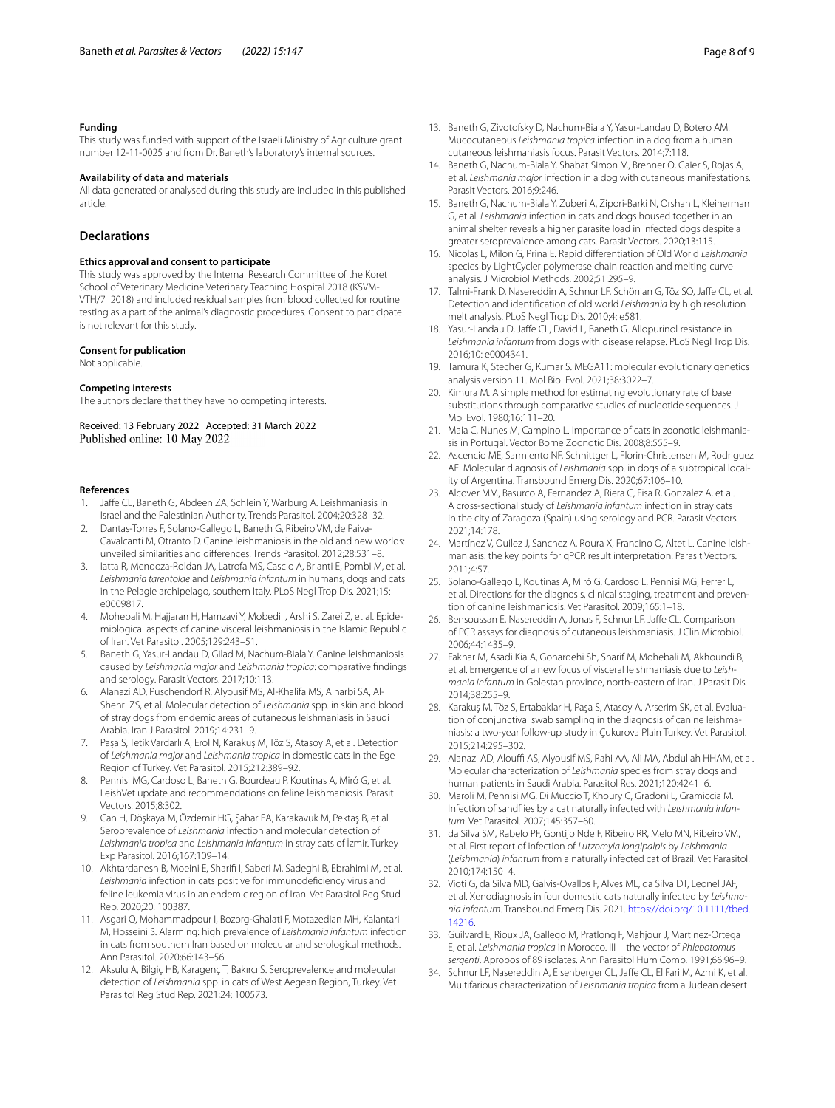#### **Funding**

This study was funded with support of the Israeli Ministry of Agriculture grant number 12-11-0025 and from Dr. Baneth's laboratory's internal sources.

#### **Availability of data and materials**

All data generated or analysed during this study are included in this published article.

# **Declarations**

#### **Ethics approval and consent to participate**

This study was approved by the Internal Research Committee of the Koret School of Veterinary Medicine Veterinary Teaching Hospital 2018 (KSVM-VTH/7\_2018) and included residual samples from blood collected for routine testing as a part of the animal's diagnostic procedures. Consent to participate is not relevant for this study.

#### **Consent for publication**

Not applicable.

#### **Competing interests**

The authors declare that they have no competing interests.

Received: 13 February 2022 Accepted: 31 March 2022 Published online: 10 May 2022

#### **References**

- <span id="page-7-0"></span>1. Jafe CL, Baneth G, Abdeen ZA, Schlein Y, Warburg A. Leishmaniasis in Israel and the Palestinian Authority. Trends Parasitol. 2004;20:328–32.
- <span id="page-7-1"></span>2. Dantas-Torres F, Solano-Gallego L, Baneth G, Ribeiro VM, de Paiva-Cavalcanti M, Otranto D. Canine leishmaniosis in the old and new worlds: unveiled similarities and diferences. Trends Parasitol. 2012;28:531–8.
- <span id="page-7-2"></span>3. Iatta R, Mendoza-Roldan JA, Latrofa MS, Cascio A, Brianti E, Pombi M, et al. *Leishmania tarentolae* and *Leishmania infantum* in humans, dogs and cats in the Pelagie archipelago, southern Italy. PLoS Negl Trop Dis. 2021;15: e0009817.
- <span id="page-7-3"></span>4. Mohebali M, Hajjaran H, Hamzavi Y, Mobedi I, Arshi S, Zarei Z, et al. Epidemiological aspects of canine visceral leishmaniosis in the Islamic Republic of Iran. Vet Parasitol. 2005;129:243–51.
- <span id="page-7-9"></span>5. Baneth G, Yasur-Landau D, Gilad M, Nachum-Biala Y. Canine leishmaniosis caused by *Leishmania major* and *Leishmania tropica*: comparative fndings and serology. Parasit Vectors. 2017;10:113.
- <span id="page-7-4"></span>6. Alanazi AD, Puschendorf R, Alyousif MS, Al-Khalifa MS, Alharbi SA, Al-Shehri ZS, et al. Molecular detection of *Leishmania* spp. in skin and blood of stray dogs from endemic areas of cutaneous leishmaniasis in Saudi Arabia. Iran J Parasitol. 2019;14:231–9.
- <span id="page-7-5"></span>7. Paşa S, Tetik Vardarlı A, Erol N, Karakuş M, Töz S, Atasoy A, et al. Detection of *Leishmania major* and *Leishmania tropica* in domestic cats in the Ege Region of Turkey. Vet Parasitol. 2015;212:389–92.
- <span id="page-7-6"></span>8. Pennisi MG, Cardoso L, Baneth G, Bourdeau P, Koutinas A, Miró G, et al. LeishVet update and recommendations on feline leishmaniosis. Parasit Vectors. 2015;8:302.
- <span id="page-7-7"></span>9. Can H, Döşkaya M, Özdemir HG, Şahar EA, Karakavuk M, Pektaş B, et al. Seroprevalence of *Leishmania* infection and molecular detection of *Leishmania tropica* and *Leishmania infantum* in stray cats of İzmir. Turkey Exp Parasitol. 2016;167:109–14.
- <span id="page-7-24"></span>10. Akhtardanesh B, Moeini E, Sharif I, Saberi M, Sadeghi B, Ebrahimi M, et al. *Leishmania* infection in cats positive for immunodefciency virus and feline leukemia virus in an endemic region of Iran. Vet Parasitol Reg Stud Rep. 2020;20: 100387.
- 11. Asgari Q, Mohammadpour I, Bozorg-Ghalati F, Motazedian MH, Kalantari M, Hosseini S. Alarming: high prevalence of *Leishmania infantum* infection in cats from southern Iran based on molecular and serological methods. Ann Parasitol. 2020;66:143–56.
- <span id="page-7-8"></span>12. Aksulu A, Bilgiç HB, Karagenç T, Bakırcı S. Seroprevalence and molecular detection of *Leishmania* spp. in cats of West Aegean Region, Turkey. Vet Parasitol Reg Stud Rep. 2021;24: 100573.
- <span id="page-7-10"></span>13. Baneth G, Zivotofsky D, Nachum-Biala Y, Yasur-Landau D, Botero AM. Mucocutaneous *Leishmania tropica* infection in a dog from a human cutaneous leishmaniasis focus. Parasit Vectors. 2014;7:118.
- <span id="page-7-11"></span>14. Baneth G, Nachum-Biala Y, Shabat Simon M, Brenner O, Gaier S, Rojas A, et al. *Leishmania major* infection in a dog with cutaneous manifestations. Parasit Vectors. 2016;9:246.
- <span id="page-7-12"></span>15. Baneth G, Nachum-Biala Y, Zuberi A, Zipori-Barki N, Orshan L, Kleinerman G, et al. *Leishmania* infection in cats and dogs housed together in an animal shelter reveals a higher parasite load in infected dogs despite a greater seroprevalence among cats. Parasit Vectors. 2020;13:115.
- <span id="page-7-13"></span>16. Nicolas L, Milon G, Prina E. Rapid diferentiation of Old World *Leishmania* species by LightCycler polymerase chain reaction and melting curve analysis. J Microbiol Methods. 2002;51:295–9.
- <span id="page-7-14"></span>17. Talmi-Frank D, Nasereddin A, Schnur LF, Schönian G, Töz SO, Jafe CL, et al. Detection and identifcation of old world *Leishmania* by high resolution melt analysis. PLoS Negl Trop Dis. 2010;4: e581.
- <span id="page-7-15"></span>18. Yasur-Landau D, Jafe CL, David L, Baneth G. Allopurinol resistance in *Leishmania infantum* from dogs with disease relapse. PLoS Negl Trop Dis. 2016;10: e0004341.
- <span id="page-7-16"></span>19. Tamura K, Stecher G, Kumar S. MEGA11: molecular evolutionary genetics analysis version 11. Mol Biol Evol. 2021;38:3022–7.
- <span id="page-7-17"></span>20. Kimura M. A simple method for estimating evolutionary rate of base substitutions through comparative studies of nucleotide sequences. J Mol Evol. 1980;16:111–20.
- <span id="page-7-18"></span>21. Maia C, Nunes M, Campino L. Importance of cats in zoonotic leishmaniasis in Portugal. Vector Borne Zoonotic Dis. 2008;8:555–9.
- 22. Ascencio ME, Sarmiento NF, Schnittger L, Florin-Christensen M, Rodriguez AE. Molecular diagnosis of *Leishmania* spp. in dogs of a subtropical locality of Argentina. Transbound Emerg Dis. 2020;67:106–10.
- 23. Alcover MM, Basurco A, Fernandez A, Riera C, Fisa R, Gonzalez A, et al. A cross-sectional study of *Leishmania infantum* infection in stray cats in the city of Zaragoza (Spain) using serology and PCR. Parasit Vectors. 2021;14:178.
- <span id="page-7-19"></span>24. Martínez V, Quilez J, Sanchez A, Roura X, Francino O, Altet L. Canine leishmaniasis: the key points for qPCR result interpretation. Parasit Vectors. 2011;4:57.
- <span id="page-7-20"></span>25. Solano-Gallego L, Koutinas A, Miró G, Cardoso L, Pennisi MG, Ferrer L, et al. Directions for the diagnosis, clinical staging, treatment and prevention of canine leishmaniosis. Vet Parasitol. 2009;165:1–18.
- <span id="page-7-21"></span>26. Bensoussan E, Nasereddin A, Jonas F, Schnur LF, Jaffe CL. Comparison of PCR assays for diagnosis of cutaneous leishmaniasis. J Clin Microbiol. 2006;44:1435–9.
- <span id="page-7-22"></span>27. Fakhar M, Asadi Kia A, Gohardehi Sh, Sharif M, Mohebali M, Akhoundi B, et al. Emergence of a new focus of visceral leishmaniasis due to *Leishmania infantum* in Golestan province, north-eastern of Iran. J Parasit Dis. 2014;38:255–9.
- 28. Karakuş M, Töz S, Ertabaklar H, Paşa S, Atasoy A, Arserim SK, et al. Evaluation of conjunctival swab sampling in the diagnosis of canine leishmaniasis: a two-year follow-up study in Çukurova Plain Turkey. Vet Parasitol. 2015;214:295–302.
- <span id="page-7-23"></span>29. Alanazi AD, Alouffi AS, Alyousif MS, Rahi AA, Ali MA, Abdullah HHAM, et al. Molecular characterization of *Leishmania* species from stray dogs and human patients in Saudi Arabia. Parasitol Res. 2021;120:4241–6.
- <span id="page-7-25"></span>30. Maroli M, Pennisi MG, Di Muccio T, Khoury C, Gradoni L, Gramiccia M. Infection of sandfies by a cat naturally infected with *Leishmania infantum*. Vet Parasitol. 2007;145:357–60.
- 31. da Silva SM, Rabelo PF, Gontijo Nde F, Ribeiro RR, Melo MN, Ribeiro VM, et al. First report of infection of *Lutzomyia longipalpis* by *Leishmania* (*Leishmania*) *infantum* from a naturally infected cat of Brazil. Vet Parasitol. 2010;174:150–4.
- <span id="page-7-26"></span>32. Vioti G, da Silva MD, Galvis-Ovallos F, Alves ML, da Silva DT, Leonel JAF, et al. Xenodiagnosis in four domestic cats naturally infected by *Leishmania infantum*. Transbound Emerg Dis. 2021. [https://doi.org/10.1111/tbed.](https://doi.org/10.1111/tbed.14216) [14216](https://doi.org/10.1111/tbed.14216).
- <span id="page-7-27"></span>33. Guilvard E, Rioux JA, Gallego M, Pratlong F, Mahjour J, Martinez-Ortega E, et al. *Leishmania tropica* in Morocco. III—the vector of *Phlebotomus sergenti*. Apropos of 89 isolates. Ann Parasitol Hum Comp. 1991;66:96–9.
- <span id="page-7-28"></span>34. Schnur LF, Nasereddin A, Eisenberger CL, Jaffe CL, El Fari M, Azmi K, et al. Multifarious characterization of *Leishmania tropica* from a Judean desert